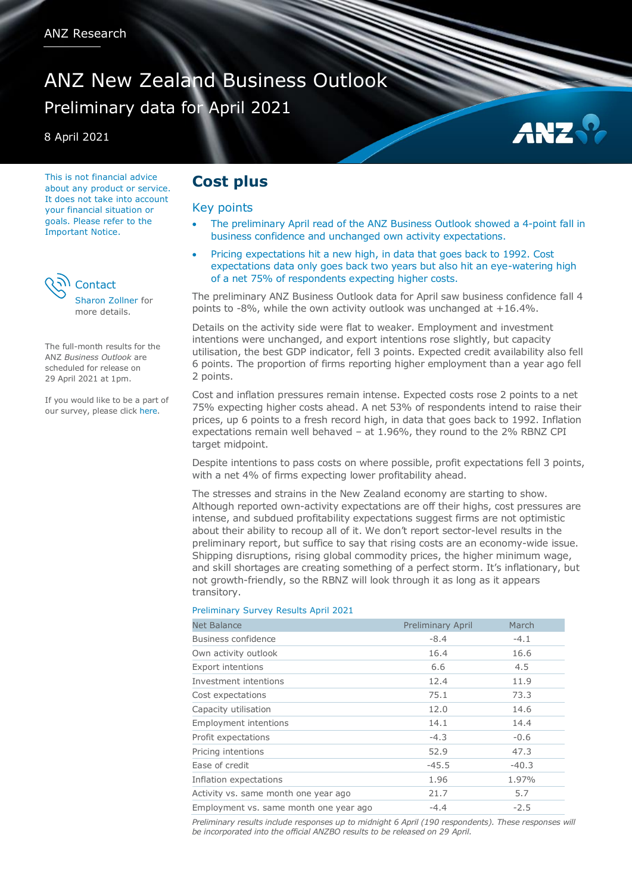# ANZ New Zealand Business Outlook Preliminary data for April 2021

8 April 2021

This is not financial advice about any product or service. It does not take into account your financial situation or goals. Please refer to the Important Notice.



more details.

The full-month results for the ANZ *Business Outlook* are scheduled for release on 29 April 2021 at 1pm.

If you would like to be a part of our survey, please clic[k here.](mailto:kyle.uerata@anz.com)

# **Cost plus**

## Key points

 The preliminary April read of the ANZ Business Outlook showed a 4-point fall in business confidence and unchanged own activity expectations.

AN:

 Pricing expectations hit a new high, in data that goes back to 1992. Cost expectations data only goes back two years but also hit an eye-watering high of a net 75% of respondents expecting higher costs.

The preliminary ANZ Business Outlook data for April saw business confidence fall 4 points to -8%, while the own activity outlook was unchanged at +16.4%.

Details on the activity side were flat to weaker. Employment and investment intentions were unchanged, and export intentions rose slightly, but capacity utilisation, the best GDP indicator, fell 3 points. Expected credit availability also fell 6 points. The proportion of firms reporting higher employment than a year ago fell 2 points.

Cost and inflation pressures remain intense. Expected costs rose 2 points to a net 75% expecting higher costs ahead. A net 53% of respondents intend to raise their prices, up 6 points to a fresh record high, in data that goes back to 1992. Inflation expectations remain well behaved – at 1.96%, they round to the 2% RBNZ CPI target midpoint.

Despite intentions to pass costs on where possible, profit expectations fell 3 points, with a net 4% of firms expecting lower profitability ahead.

The stresses and strains in the New Zealand economy are starting to show. Although reported own-activity expectations are off their highs, cost pressures are intense, and subdued profitability expectations suggest firms are not optimistic about their ability to recoup all of it. We don't report sector-level results in the preliminary report, but suffice to say that rising costs are an economy-wide issue. Shipping disruptions, rising global commodity prices, the higher minimum wage, and skill shortages are creating something of a perfect storm. It's inflationary, but not growth-friendly, so the RBNZ will look through it as long as it appears transitory.

#### Preliminary Survey Results April 2021

| <b>Net Balance</b>                     | <b>Preliminary April</b> | March   |
|----------------------------------------|--------------------------|---------|
| Business confidence                    | $-8.4$                   | $-4.1$  |
| Own activity outlook                   | 16.4                     | 16.6    |
| <b>Export intentions</b>               | 6.6                      | 4.5     |
| Investment intentions                  | 12.4                     | 11.9    |
| Cost expectations                      | 75.1                     | 73.3    |
| Capacity utilisation                   | 12.0                     | 14.6    |
| <b>Employment intentions</b>           | 14.1                     | 14.4    |
| Profit expectations                    | $-4.3$                   | $-0.6$  |
| Pricing intentions                     | 52.9                     | 47.3    |
| Ease of credit                         | $-45.5$                  | $-40.3$ |
| Inflation expectations                 | 1.96                     | 1.97%   |
| Activity vs. same month one year ago   | 21.7                     | 5.7     |
| Employment vs. same month one year ago | $-4.4$                   | $-2.5$  |

*Preliminary results include responses up to midnight 6 April (190 respondents). These responses will be incorporated into the official ANZBO results to be released on 29 April.*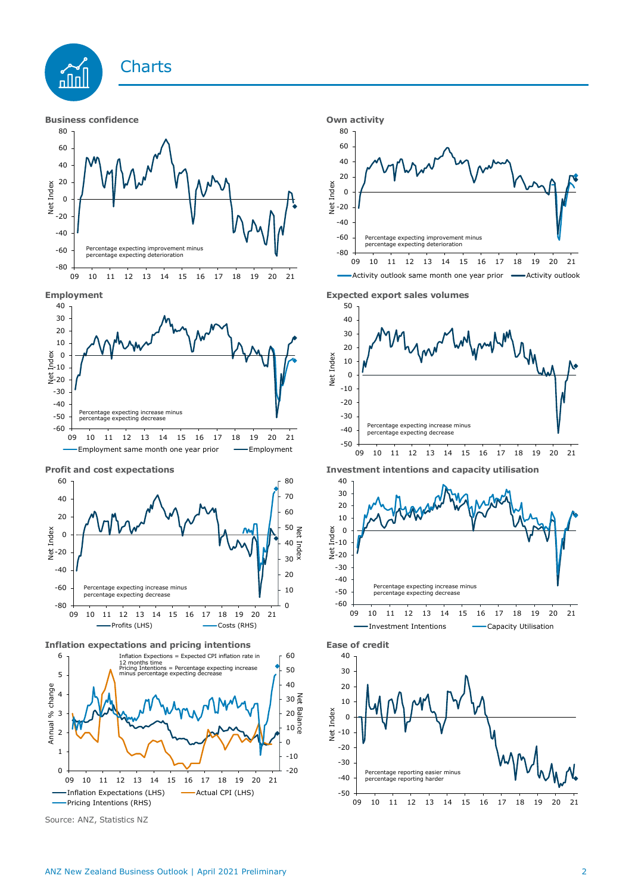











**Inflation expectations and pricing intentions Ease of credit**



Source: ANZ, Statistics NZ







**Profit and cost expectations Investment intentions and capacity utilisation**



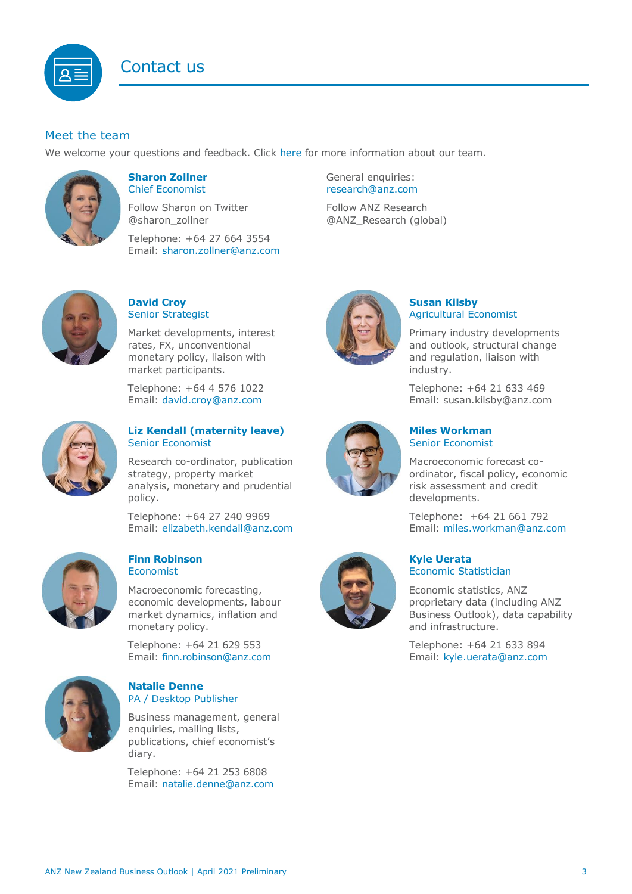

# Meet the team

We welcome your questions and feedback. Click [here](https://www.anz.co.nz/about-us/economic-markets-research/economics-research-team/) for more information about our team.



#### <span id="page-2-0"></span>**Sharon Zollner** Chief Economist

Follow Sharon on Twitter @sharon\_zollner

Telephone: +64 27 664 3554 Email: [sharon.zollner@anz.com](mailto:sharon.zollner@anz.com) General enquiries: [research@anz.com](mailto:research@anz.com)

Follow ANZ Research @ANZ\_Research (global)



#### **David Croy** Senior Strategist

Market developments, interest rates, FX, unconventional monetary policy, liaison with market participants.

Telephone: +64 4 576 1022 Email: [david.croy@anz.com](mailto:david.croy@anz.com)



## **Liz Kendall (maternity leave)** Senior Economist

Research co-ordinator, publication strategy, property market analysis, monetary and prudential policy.

Telephone: +64 27 240 9969 Email: [elizabeth.kendall@anz.com](mailto:Elizabeth.Kendall@anz.com)



#### **Finn Robinson Economist**

Macroeconomic forecasting, economic developments, labour market dynamics, inflation and monetary policy.

Telephone: +64 21 629 553 Email: [finn.robinson@anz.com](mailto:finn.robinson@anz.com)



#### **Natalie Denne** PA / Desktop Publisher

Business management, general enquiries, mailing lists, publications, chief economist's diary.

Telephone: +64 21 253 6808 Email: [natalie.denne@anz.com](mailto:natalie.denne@anz.com)



# **Susan Kilsby** Agricultural Economist

Primary industry developments and outlook, structural change and regulation, liaison with industry.

Telephone: +64 21 633 469 Email: [susan.kilsby@anz.com](mailto:susan.kilsby@anz.com)



#### **Miles Workman**  Senior Economist

Macroeconomic forecast coordinator, fiscal policy, economic risk assessment and credit developments.

Telephone: +64 21 661 792 Email: [miles.workman@anz.com](mailto:miles.workman@anz.com)



## **Kyle Uerata** Economic Statistician

Economic statistics, ANZ proprietary data (including ANZ Business Outlook), data capability and infrastructure.

Telephone: +64 21 633 894 Email: [kyle.uerata@anz.com](mailto:Kyle.Uerata@anz.com)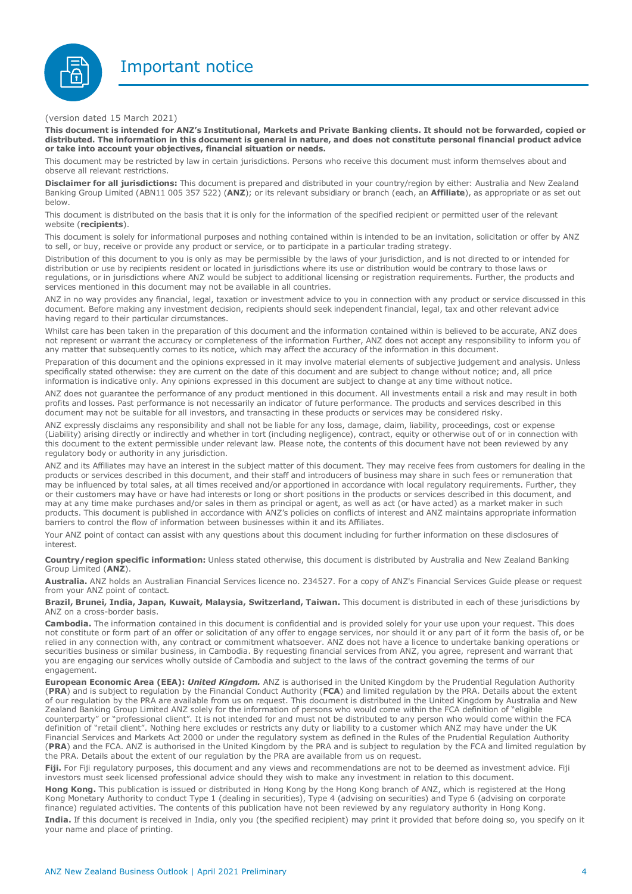

(version dated 15 March 2021)

**This document is intended for ANZ's Institutional, Markets and Private Banking clients. It should not be forwarded, copied or** distributed. The information in this document is general in nature, and does not constitute personal financial product advice **or take into account your objectives, financial situation or needs.**

This document may be restricted by law in certain jurisdictions. Persons who receive this document must inform themselves about and observe all relevant restrictions.

**Disclaimer for all jurisdictions:** This document is prepared and distributed in your country/region by either: Australia and New Zealand Banking Group Limited (ABN11 005 357 522) (**ANZ**); or its relevant subsidiary or branch (each, an **Affiliate**), as appropriate or as set out below.

This document is distributed on the basis that it is only for the information of the specified recipient or permitted user of the relevant website (**recipients**).

This document is solely for informational purposes and nothing contained within is intended to be an invitation, solicitation or offer by ANZ to sell, or buy, receive or provide any product or service, or to participate in a particular trading strategy.

Distribution of this document to you is only as may be permissible by the laws of your jurisdiction, and is not directed to or intended for distribution or use by recipients resident or located in jurisdictions where its use or distribution would be contrary to those laws or regulations, or in jurisdictions where ANZ would be subject to additional licensing or registration requirements. Further, the products and services mentioned in this document may not be available in all countries.

ANZ in no way provides any financial, legal, taxation or investment advice to you in connection with any product or service discussed in this document. Before making any investment decision, recipients should seek independent financial, legal, tax and other relevant advice having regard to their particular circumstances.

Whilst care has been taken in the preparation of this document and the information contained within is believed to be accurate, ANZ does not represent or warrant the accuracy or completeness of the information Further, ANZ does not accept any responsibility to inform you of any matter that subsequently comes to its notice, which may affect the accuracy of the information in this document.

Preparation of this document and the opinions expressed in it may involve material elements of subjective judgement and analysis. Unless specifically stated otherwise: they are current on the date of this document and are subject to change without notice; and, all price information is indicative only. Any opinions expressed in this document are subject to change at any time without notice.

ANZ does not guarantee the performance of any product mentioned in this document. All investments entail a risk and may result in both profits and losses. Past performance is not necessarily an indicator of future performance. The products and services described in this document may not be suitable for all investors, and transacting in these products or services may be considered risky.

ANZ expressly disclaims any responsibility and shall not be liable for any loss, damage, claim, liability, proceedings, cost or expense (Liability) arising directly or indirectly and whether in tort (including negligence), contract, equity or otherwise out of or in connection with this document to the extent permissible under relevant law. Please note, the contents of this document have not been reviewed by any regulatory body or authority in any jurisdiction.

ANZ and its Affiliates may have an interest in the subject matter of this document. They may receive fees from customers for dealing in the products or services described in this document, and their staff and introducers of business may share in such fees or remuneration that may be influenced by total sales, at all times received and/or apportioned in accordance with local regulatory requirements. Further, they or their customers may have or have had interests or long or short positions in the products or services described in this document, and may at any time make purchases and/or sales in them as principal or agent, as well as act (or have acted) as a market maker in such products. This document is published in accordance with ANZ's policies on conflicts of interest and ANZ maintains appropriate information barriers to control the flow of information between businesses within it and its Affiliates.

Your ANZ point of contact can assist with any questions about this document including for further information on these disclosures of interest.

**Country/region specific information:** Unless stated otherwise, this document is distributed by Australia and New Zealand Banking Group Limited (**ANZ**).

**Australia.** ANZ holds an Australian Financial Services licence no. 234527. For a copy of ANZ's Financial Services Guide please or request from your ANZ point of contact.

**Brazil, Brunei, India, Japan, Kuwait, Malaysia, Switzerland, Taiwan.** This document is distributed in each of these jurisdictions by ANZ on a cross-border basis.

**Cambodia.** The information contained in this document is confidential and is provided solely for your use upon your request. This does not constitute or form part of an offer or solicitation of any offer to engage services, nor should it or any part of it form the basis of, or be relied in any connection with, any contract or commitment whatsoever. ANZ does not have a licence to undertake banking operations or securities business or similar business, in Cambodia. By requesting financial services from ANZ, you agree, represent and warrant that you are engaging our services wholly outside of Cambodia and subject to the laws of the contract governing the terms of our engagement.

**European Economic Area (EEA):** *United Kingdom.* ANZ is authorised in the United Kingdom by the Prudential Regulation Authority (**PRA**) and is subject to regulation by the Financial Conduct Authority (**FCA**) and limited regulation by the PRA. Details about the extent of our regulation by the PRA are available from us on request. This document is distributed in the United Kingdom by Australia and New Zealand Banking Group Limited ANZ solely for the information of persons who would come within the FCA definition of "eligible counterparty" or "professional client". It is not intended for and must not be distributed to any person who would come within the FCA definition of "retail client". Nothing here excludes or restricts any duty or liability to a customer which ANZ may have under the UK Financial Services and Markets Act 2000 or under the regulatory system as defined in the Rules of the Prudential Regulation Authority (**PRA**) and the FCA. ANZ is authorised in the United Kingdom by the PRA and is subject to regulation by the FCA and limited regulation by the PRA. Details about the extent of our regulation by the PRA are available from us on request.

**Fiji.** For Fiji regulatory purposes, this document and any views and recommendations are not to be deemed as investment advice. Fiji investors must seek licensed professional advice should they wish to make any investment in relation to this document.

**Hong Kong.** This publication is issued or distributed in Hong Kong by the Hong Kong branch of ANZ, which is registered at the Hong Kong Monetary Authority to conduct Type 1 (dealing in securities), Type 4 (advising on securities) and Type 6 (advising on corporate finance) regulated activities. The contents of this publication have not been reviewed by any regulatory authority in Hong Kong.

**India.** If this document is received in India, only you (the specified recipient) may print it provided that before doing so, you specify on it your name and place of printing.